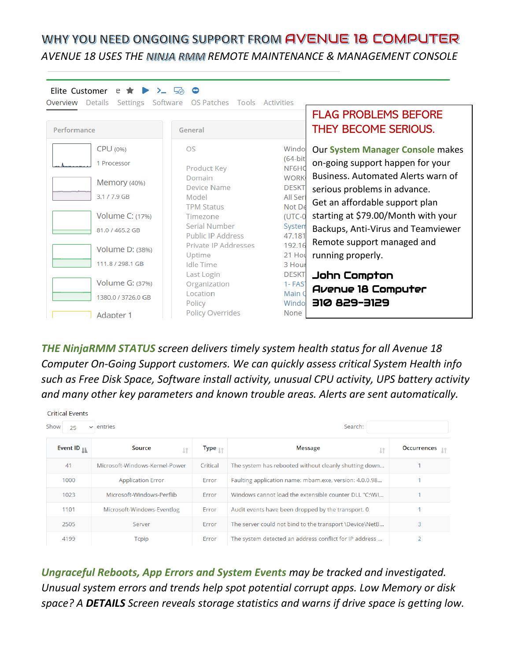## WHY YOU NEED ONGOING SUPPORT FROM AVENUE 18 COMPUTER *AVENUE 18 USES THE REMOTE MAINTENANCE & MANAGEMENT CONSOLE*

| Elite Customer<br>$e \star F$<br>$\sum$<br>Details<br>Overview<br>Settings | Software<br>OS Patches<br>Tools    | Activities              |                                     |
|----------------------------------------------------------------------------|------------------------------------|-------------------------|-------------------------------------|
|                                                                            |                                    |                         | <b>FLAG PROBLEMS BEFORE</b>         |
| Performance                                                                | General                            |                         | <b>THEY BECOME SERIOUS.</b>         |
| CPU (0%)                                                                   | OS                                 | Windo                   | Our System Manager Console makes    |
| 1 Processor<br>Memory (40%)                                                | Product Key                        | $(64-bit$<br>NF6HC      | on-going support happen for your    |
|                                                                            | Domain                             | <b>WORK</b>             | Business. Automated Alerts warn of  |
| 3.1 / 7.9 GB                                                               | <b>Device Name</b><br>Model        | <b>DESKT</b><br>All Ser | serious problems in advance.        |
|                                                                            | <b>TPM Status</b>                  | Not De                  | Get an affordable support plan      |
| Volume C: (17%)                                                            | Timezone                           | $(UTC-0)$               | starting at \$79.00/Month with your |
| 81.0 / 465.2 GB                                                            | Serial Number<br>Public IP Address | Systen<br>47.181        | Backups, Anti-Virus and Teamviewer  |
| Volume D: (38%)<br>111.8 / 298.1 GB                                        | Private IP Addresses               | 192.16                  | Remote support managed and          |
|                                                                            | Uptime<br><b>Idle Time</b>         | 21 Hot<br>3 Hour        | running properly.                   |
|                                                                            | Last Login                         | <b>DESKT</b>            | John Compton                        |
| Volume G: (37%)                                                            | Organization                       | $1 - FAST$              | Avenue 18 Computer                  |
| 1380.0 / 3726.0 GB                                                         | Location<br>Policy                 | Main 0<br>Windo         | <b>216-228 SIE</b>                  |
| <b>Adapter 1</b>                                                           | <b>Policy Overrides</b>            | None                    |                                     |

*THE NinjaRMM STATUS screen delivers timely system health status for all Avenue 18 Computer On-Going Support customers. We can quickly assess critical System Health info such as Free Disk Space, Software install activity, unusual CPU activity, UPS battery activity and many other key parameters and known trouble areas. Alerts are sent automatically.*

| <b>Critical Events</b><br>Show<br>Search:<br>$\vee$ entries<br>25 |                                |                               |                                                         |                    |  |
|-------------------------------------------------------------------|--------------------------------|-------------------------------|---------------------------------------------------------|--------------------|--|
| Event ID $_{\mathbb{I}\mathbb{L}}$                                | Source<br>ιt                   | Type $_{\downarrow \uparrow}$ | <b>Message</b><br><b>Lt</b>                             | <b>Occurrences</b> |  |
| 41                                                                | Microsoft-Windows-Kernel-Power | Critical                      | The system has rebooted without cleanly shutting down   |                    |  |
| 1000                                                              | <b>Application Error</b>       | Error                         | Faulting application name: mbam.exe, version: 4.0.0.98  |                    |  |
| 1023                                                              | Microsoft-Windows-Perflib      | Error                         | Windows cannot load the extensible counter DLL "C:\WI   |                    |  |
| 1101                                                              | Microsoft-Windows-Eventlog     | Error                         | Audit events have been dropped by the transport. 0      |                    |  |
| 2505                                                              | Server                         | Error                         | The server could not bind to the transport \Device\NetB | 3                  |  |
| 4199                                                              | <b>Tcpip</b>                   | Error                         | The system detected an address conflict for IP address  | 2                  |  |

*Ungraceful Reboots, App Errors and System Events may be tracked and investigated. Unusual system errors and trends help spot potential corrupt apps. Low Memory or disk space? A DETAILS Screen reveals storage statistics and warns if drive space is getting low.*